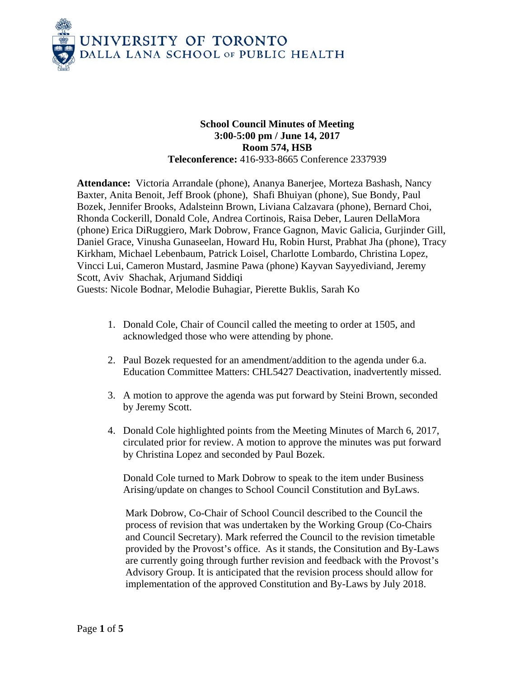

## **School Council Minutes of Meeting 3:00-5:00 pm / June 14, 2017 Room 574, HSB Teleconference:** 416-933-8665 Conference 2337939

**Attendance:** Victoria Arrandale (phone), Ananya Banerjee, Morteza Bashash, Nancy Baxter, Anita Benoit, Jeff Brook (phone), Shafi Bhuiyan (phone), Sue Bondy, Paul Bozek, Jennifer Brooks, Adalsteinn Brown, Liviana Calzavara (phone), Bernard Choi, Rhonda Cockerill, Donald Cole, Andrea Cortinois, Raisa Deber, Lauren DellaMora (phone) Erica DiRuggiero, Mark Dobrow, France Gagnon, Mavic Galicia, Gurjinder Gill, Daniel Grace, Vinusha Gunaseelan, Howard Hu, Robin Hurst, Prabhat Jha (phone), Tracy Kirkham, Michael Lebenbaum, Patrick Loisel, Charlotte Lombardo, Christina Lopez, Vincci Lui, Cameron Mustard, Jasmine Pawa (phone) Kayvan Sayyediviand, Jeremy Scott, Aviv Shachak, Arjumand Siddiqi Guests: Nicole Bodnar, Melodie Buhagiar, Pierette Buklis, Sarah Ko

- 1. Donald Cole, Chair of Council called the meeting to order at 1505, and acknowledged those who were attending by phone.
- 2. Paul Bozek requested for an amendment/addition to the agenda under 6.a. Education Committee Matters: CHL5427 Deactivation, inadvertently missed.
- 3. A motion to approve the agenda was put forward by Steini Brown, seconded by Jeremy Scott.
- 4. Donald Cole highlighted points from the Meeting Minutes of March 6, 2017, circulated prior for review. A motion to approve the minutes was put forward by Christina Lopez and seconded by Paul Bozek.

Donald Cole turned to Mark Dobrow to speak to the item under Business Arising/update on changes to School Council Constitution and ByLaws.

Mark Dobrow, Co-Chair of School Council described to the Council the process of revision that was undertaken by the Working Group (Co-Chairs and Council Secretary). Mark referred the Council to the revision timetable provided by the Provost's office. As it stands, the Consitution and By-Laws are currently going through further revision and feedback with the Provost's Advisory Group. It is anticipated that the revision process should allow for implementation of the approved Constitution and By-Laws by July 2018.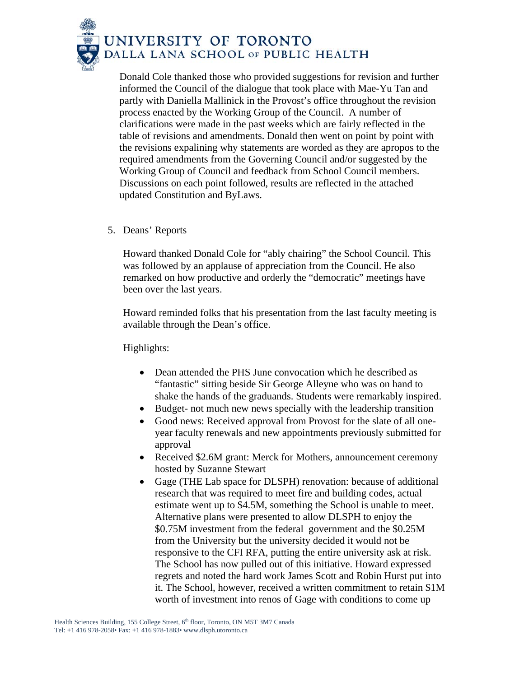

Donald Cole thanked those who provided suggestions for revision and further informed the Council of the dialogue that took place with Mae-Yu Tan and partly with Daniella Mallinick in the Provost's office throughout the revision process enacted by the Working Group of the Council. A number of clarifications were made in the past weeks which are fairly reflected in the table of revisions and amendments. Donald then went on point by point with the revisions expalining why statements are worded as they are apropos to the required amendments from the Governing Council and/or suggested by the Working Group of Council and feedback from School Council members. Discussions on each point followed, results are reflected in the attached updated Constitution and ByLaws.

5. Deans' Reports

Howard thanked Donald Cole for "ably chairing" the School Council. This was followed by an applause of appreciation from the Council. He also remarked on how productive and orderly the "democratic" meetings have been over the last years.

Howard reminded folks that his presentation from the last faculty meeting is available through the Dean's office.

Highlights:

- Dean attended the PHS June convocation which he described as "fantastic" sitting beside Sir George Alleyne who was on hand to shake the hands of the graduands. Students were remarkably inspired.
- Budget- not much new news specially with the leadership transition
- Good news: Received approval from Provost for the slate of all oneyear faculty renewals and new appointments previously submitted for approval
- Received \$2.6M grant: Merck for Mothers, announcement ceremony hosted by Suzanne Stewart
- Gage (THE Lab space for DLSPH) renovation: because of additional research that was required to meet fire and building codes, actual estimate went up to \$4.5M, something the School is unable to meet. Alternative plans were presented to allow DLSPH to enjoy the \$0.75M investment from the federal government and the \$0.25M from the University but the university decided it would not be responsive to the CFI RFA, putting the entire university ask at risk. The School has now pulled out of this initiative. Howard expressed regrets and noted the hard work James Scott and Robin Hurst put into it. The School, however, received a written commitment to retain \$1M worth of investment into renos of Gage with conditions to come up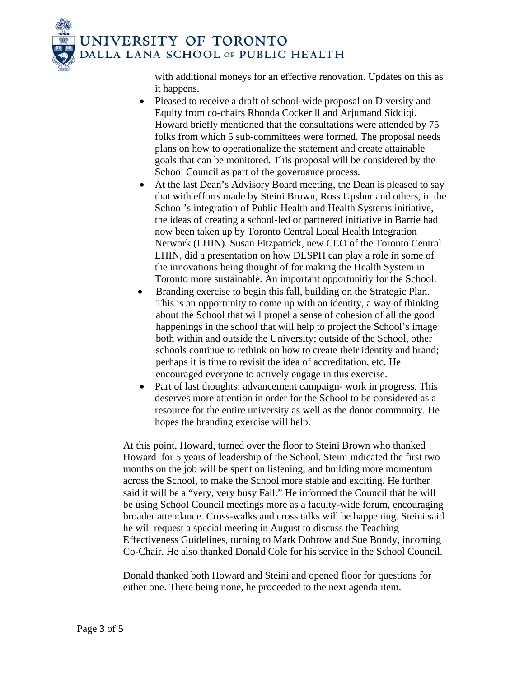

with additional moneys for an effective renovation. Updates on this as it happens.

- Pleased to receive a draft of school-wide proposal on Diversity and Equity from co-chairs Rhonda Cockerill and Arjumand Siddiqi. Howard briefly mentioned that the consultations were attended by 75 folks from which 5 sub-committees were formed. The proposal needs plans on how to operationalize the statement and create attainable goals that can be monitored. This proposal will be considered by the School Council as part of the governance process.
- At the last Dean's Advisory Board meeting, the Dean is pleased to say that with efforts made by Steini Brown, Ross Upshur and others, in the School's integration of Public Health and Health Systems initiative, the ideas of creating a school-led or partnered initiative in Barrie had now been taken up by Toronto Central Local Health Integration Network (LHIN). Susan Fitzpatrick, new CEO of the Toronto Central LHIN, did a presentation on how DLSPH can play a role in some of the innovations being thought of for making the Health System in Toronto more sustainable. An important opportunitiy for the School.
- Branding exercise to begin this fall, building on the Strategic Plan. This is an opportunity to come up with an identity, a way of thinking about the School that will propel a sense of cohesion of all the good happenings in the school that will help to project the School's image both within and outside the University; outside of the School, other schools continue to rethink on how to create their identity and brand; perhaps it is time to revisit the idea of accreditation, etc. He encouraged everyone to actively engage in this exercise.
- Part of last thoughts: advancement campaign- work in progress. This deserves more attention in order for the School to be considered as a resource for the entire university as well as the donor community. He hopes the branding exercise will help.

At this point, Howard, turned over the floor to Steini Brown who thanked Howard for 5 years of leadership of the School. Steini indicated the first two months on the job will be spent on listening, and building more momentum across the School, to make the School more stable and exciting. He further said it will be a "very, very busy Fall." He informed the Council that he will be using School Council meetings more as a faculty-wide forum, encouraging broader attendance. Cross-walks and cross talks will be happening. Steini said he will request a special meeting in August to discuss the Teaching Effectiveness Guidelines, turning to Mark Dobrow and Sue Bondy, incoming Co-Chair. He also thanked Donald Cole for his service in the School Council.

Donald thanked both Howard and Steini and opened floor for questions for either one. There being none, he proceeded to the next agenda item.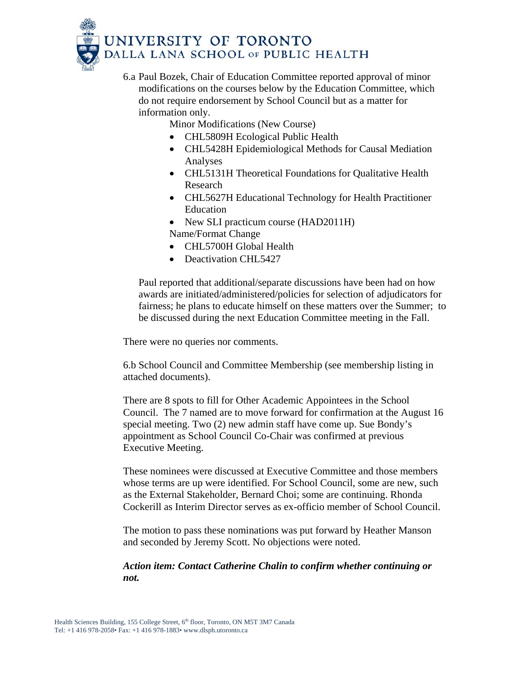

- 6.a Paul Bozek, Chair of Education Committee reported approval of minor modifications on the courses below by the Education Committee, which do not require endorsement by School Council but as a matter for information only.
	- Minor Modifications (New Course)
		- CHL5809H Ecological Public Health
		- CHL5428H Epidemiological Methods for Causal Mediation Analyses
		- CHL5131H Theoretical Foundations for Qualitative Health Research
		- CHL5627H Educational Technology for Health Practitioner Education
		- New SLI practicum course (HAD2011H)
		- Name/Format Change
		- CHL5700H Global Health
		- Deactivation CHL5427

Paul reported that additional/separate discussions have been had on how awards are initiated/administered/policies for selection of adjudicators for fairness; he plans to educate himself on these matters over the Summer; to be discussed during the next Education Committee meeting in the Fall.

There were no queries nor comments.

6.b School Council and Committee Membership (see membership listing in attached documents).

There are 8 spots to fill for Other Academic Appointees in the School Council. The 7 named are to move forward for confirmation at the August 16 special meeting. Two (2) new admin staff have come up. Sue Bondy's appointment as School Council Co-Chair was confirmed at previous Executive Meeting.

These nominees were discussed at Executive Committee and those members whose terms are up were identified. For School Council, some are new, such as the External Stakeholder, Bernard Choi; some are continuing. Rhonda Cockerill as Interim Director serves as ex-officio member of School Council.

The motion to pass these nominations was put forward by Heather Manson and seconded by Jeremy Scott. No objections were noted.

*Action item: Contact Catherine Chalin to confirm whether continuing or not.*